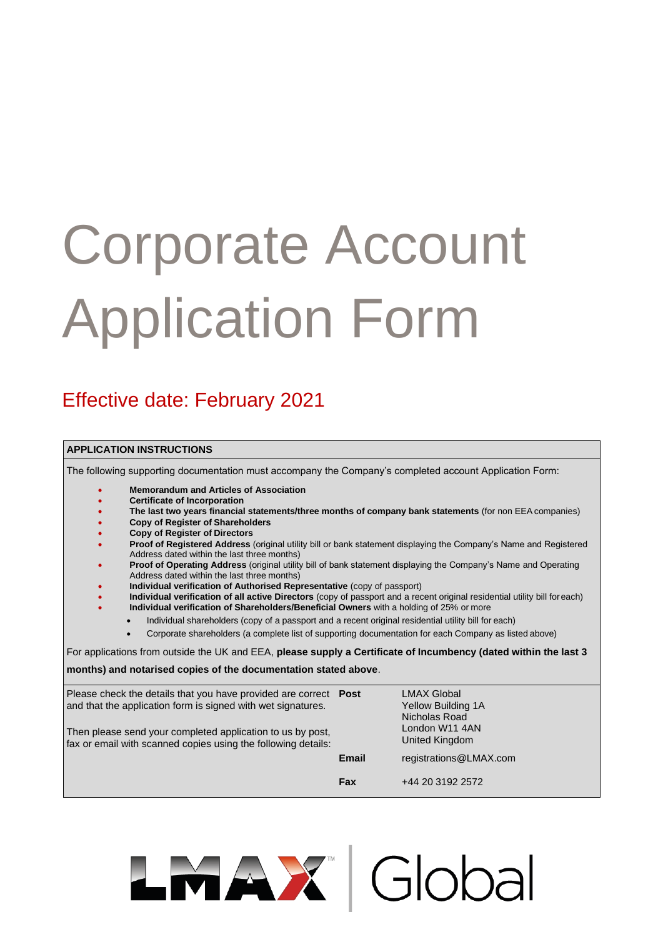# Corporate Account Application Form

## Effective date: February 2021

### **APPLICATION INSTRUCTIONS**

The following supporting documentation must accompany the Company's completed account Application Form:

- **Memorandum and Articles of Association**
- **Certificate of Incorporation**
- **The last two years financial statements/three months of company bank statements** (for non EEAcompanies)
- **Copy of Register of Shareholders**
- **Copy of Register of Directors**
- **Proof of Registered Address** (original utility bill or bank statement displaying the Company's Name and Registered Address dated within the last three months)
- **Proof of Operating Address** (original utility bill of bank statement displaying the Company's Name and Operating Address dated within the last three months)
- **Individual verification of Authorised Representative** (copy of passport)
- **Individual verification of all active Directors** (copy of passport and a recent original residential utility bill foreach) • **Individual verification of Shareholders/Beneficial Owners** with a holding of 25% or more
- Individual shareholders (copy of a passport and a recent original residential utility bill for each)
	- Corporate shareholders (a complete list of supporting documentation for each Company as listed above)

For applications from outside the UK and EEA, **please supply a Certificate of Incumbency (dated within the last 3** 

**months) and notarised copies of the documentation stated above**.

| Please check the details that you have provided are correct <b>Post</b><br>and that the application form is signed with wet signatures.<br>Then please send your completed application to us by post,<br>fax or email with scanned copies using the following details: | <b>LMAX Global</b><br>Yellow Building 1A<br>Nicholas Road<br>London W11 4AN<br>United Kingdom |                        |
|------------------------------------------------------------------------------------------------------------------------------------------------------------------------------------------------------------------------------------------------------------------------|-----------------------------------------------------------------------------------------------|------------------------|
|                                                                                                                                                                                                                                                                        | <b>Email</b>                                                                                  | registrations@LMAX.com |
|                                                                                                                                                                                                                                                                        | Fax                                                                                           | +44 20 3192 2572       |

LMAX Global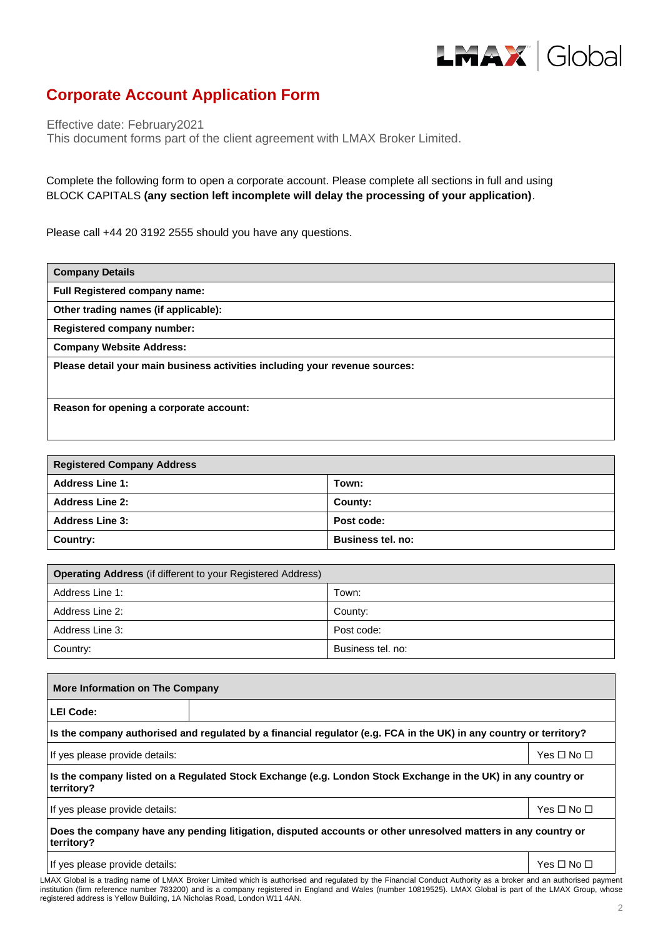

## **Corporate Account Application Form**

Effective date: February2021

This document forms part of the client agreement with LMAX Broker Limited.

Complete the following form to open a corporate account. Please complete all sections in full and using BLOCK CAPITALS **(any section left incomplete will delay the processing of your application)**.

Please call +44 20 3192 2555 should you have any questions.

| <b>Company Details</b>                                                      |
|-----------------------------------------------------------------------------|
| <b>Full Registered company name:</b>                                        |
| Other trading names (if applicable):                                        |
| <b>Registered company number:</b>                                           |
| <b>Company Website Address:</b>                                             |
| Please detail your main business activities including your revenue sources: |
| Reason for opening a corporate account:                                     |

| <b>Registered Company Address</b> |                          |  |  |  |  |
|-----------------------------------|--------------------------|--|--|--|--|
| <b>Address Line 1:</b>            | Town:                    |  |  |  |  |
| <b>Address Line 2:</b>            | County:                  |  |  |  |  |
| <b>Address Line 3:</b>            | Post code:               |  |  |  |  |
| Country:                          | <b>Business tel. no:</b> |  |  |  |  |

| <b>Operating Address</b> (if different to your Registered Address) |                   |  |  |  |  |  |
|--------------------------------------------------------------------|-------------------|--|--|--|--|--|
| Address Line 1:                                                    | Town:             |  |  |  |  |  |
| Address Line 2:                                                    | County:           |  |  |  |  |  |
| Address Line 3:                                                    | Post code:        |  |  |  |  |  |
| Country:                                                           | Business tel. no: |  |  |  |  |  |

| More Information on The Company                                                                                             |                                                                                                              |                            |  |  |  |  |  |  |
|-----------------------------------------------------------------------------------------------------------------------------|--------------------------------------------------------------------------------------------------------------|----------------------------|--|--|--|--|--|--|
| <b>LEI Code:</b>                                                                                                            |                                                                                                              |                            |  |  |  |  |  |  |
| Is the company authorised and regulated by a financial regulator (e.g. FCA in the UK) in any country or territory?          |                                                                                                              |                            |  |  |  |  |  |  |
| If yes please provide details:                                                                                              |                                                                                                              | Yes $\square$ No $\square$ |  |  |  |  |  |  |
| territory?                                                                                                                  | Is the company listed on a Regulated Stock Exchange (e.g. London Stock Exchange in the UK) in any country or |                            |  |  |  |  |  |  |
| If yes please provide details:<br>Yes $\square$ No $\square$                                                                |                                                                                                              |                            |  |  |  |  |  |  |
| Does the company have any pending litigation, disputed accounts or other unresolved matters in any country or<br>territory? |                                                                                                              |                            |  |  |  |  |  |  |
| If yes please provide details:                                                                                              |                                                                                                              | Yes □ No □                 |  |  |  |  |  |  |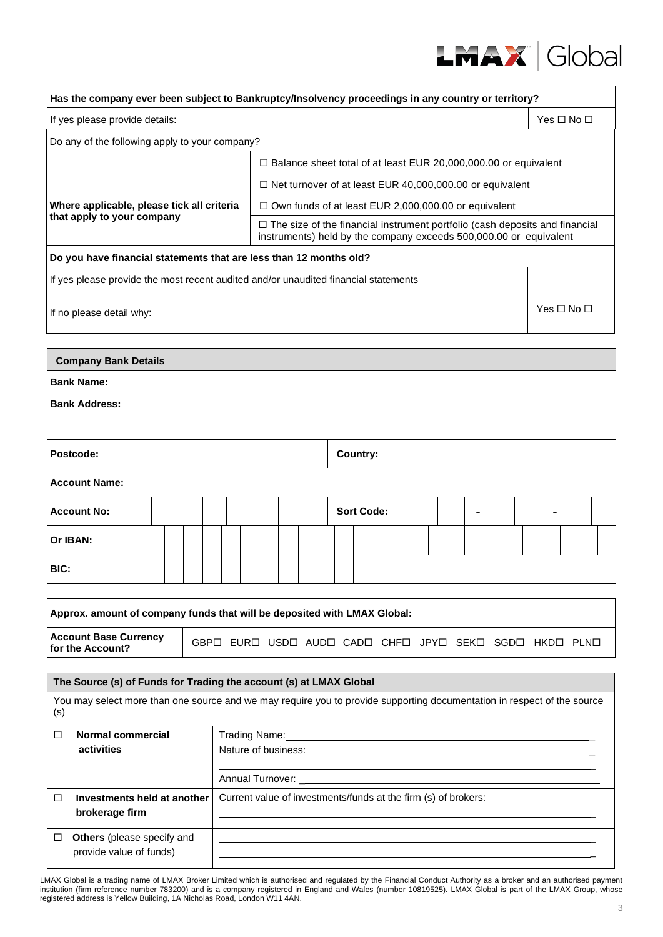

| Has the company ever been subject to Bankruptcy/Insolvency proceedings in any country or territory?                            |                                                                                                                |                                                                                                                                                         |                    |  |  |  |  |  |
|--------------------------------------------------------------------------------------------------------------------------------|----------------------------------------------------------------------------------------------------------------|---------------------------------------------------------------------------------------------------------------------------------------------------------|--------------------|--|--|--|--|--|
| If yes please provide details:<br>Yes $\Box$ No $\Box$                                                                         |                                                                                                                |                                                                                                                                                         |                    |  |  |  |  |  |
| Do any of the following apply to your company?                                                                                 |                                                                                                                |                                                                                                                                                         |                    |  |  |  |  |  |
| $\square$ Balance sheet total of at least EUR 20,000,000.00 or equivalent                                                      |                                                                                                                |                                                                                                                                                         |                    |  |  |  |  |  |
|                                                                                                                                |                                                                                                                | $\Box$ Net turnover of at least EUR 40,000,000.00 or equivalent                                                                                         |                    |  |  |  |  |  |
| Where applicable, please tick all criteria                                                                                     |                                                                                                                | $\Box$ Own funds of at least EUR 2,000,000.00 or equivalent                                                                                             |                    |  |  |  |  |  |
| that apply to your company                                                                                                     |                                                                                                                | $\Box$ The size of the financial instrument portfolio (cash deposits and financial<br>instruments) held by the company exceeds 500,000.00 or equivalent |                    |  |  |  |  |  |
| Do you have financial statements that are less than 12 months old?                                                             |                                                                                                                |                                                                                                                                                         |                    |  |  |  |  |  |
| If yes please provide the most recent audited and/or unaudited financial statements                                            |                                                                                                                |                                                                                                                                                         |                    |  |  |  |  |  |
| If no please detail why:                                                                                                       |                                                                                                                |                                                                                                                                                         | Yes $\Pi$ No $\Pi$ |  |  |  |  |  |
|                                                                                                                                |                                                                                                                |                                                                                                                                                         |                    |  |  |  |  |  |
| <b>Company Bank Details</b>                                                                                                    |                                                                                                                |                                                                                                                                                         |                    |  |  |  |  |  |
| <b>Bank Name:</b>                                                                                                              |                                                                                                                |                                                                                                                                                         |                    |  |  |  |  |  |
| <b>Bank Address:</b>                                                                                                           |                                                                                                                |                                                                                                                                                         |                    |  |  |  |  |  |
| Postcode:                                                                                                                      |                                                                                                                | Country:                                                                                                                                                |                    |  |  |  |  |  |
| <b>Account Name:</b>                                                                                                           |                                                                                                                |                                                                                                                                                         |                    |  |  |  |  |  |
| <b>Account No:</b>                                                                                                             |                                                                                                                | <b>Sort Code:</b>                                                                                                                                       |                    |  |  |  |  |  |
| Or IBAN:                                                                                                                       |                                                                                                                |                                                                                                                                                         |                    |  |  |  |  |  |
| BIC:                                                                                                                           |                                                                                                                |                                                                                                                                                         |                    |  |  |  |  |  |
| Approx. amount of company funds that will be deposited with LMAX Global:                                                       |                                                                                                                |                                                                                                                                                         |                    |  |  |  |  |  |
| <b>Account Base Currency</b><br>for the Account?                                                                               |                                                                                                                | GBPO EURO USDO AUDO CADO CHFO JPYO SEKO SGDO HKDO PLNO                                                                                                  |                    |  |  |  |  |  |
|                                                                                                                                |                                                                                                                |                                                                                                                                                         |                    |  |  |  |  |  |
| The Source (s) of Funds for Trading the account (s) at LMAX Global                                                             |                                                                                                                |                                                                                                                                                         |                    |  |  |  |  |  |
| You may select more than one source and we may require you to provide supporting documentation in respect of the source<br>(s) |                                                                                                                |                                                                                                                                                         |                    |  |  |  |  |  |
| <b>Normal commercial</b><br>◻<br>activities                                                                                    |                                                                                                                |                                                                                                                                                         |                    |  |  |  |  |  |
|                                                                                                                                | Nature of business: example and a series of the series of the series of the series of the series of the series |                                                                                                                                                         |                    |  |  |  |  |  |
|                                                                                                                                |                                                                                                                |                                                                                                                                                         |                    |  |  |  |  |  |
| Investments held at another<br>□<br>brokerage firm                                                                             |                                                                                                                | Current value of investments/funds at the firm (s) of brokers:                                                                                          |                    |  |  |  |  |  |
| Others (please specify and<br>$\Box$                                                                                           |                                                                                                                |                                                                                                                                                         |                    |  |  |  |  |  |
| provide value of funds)                                                                                                        |                                                                                                                |                                                                                                                                                         |                    |  |  |  |  |  |

 $\mathbf{r}$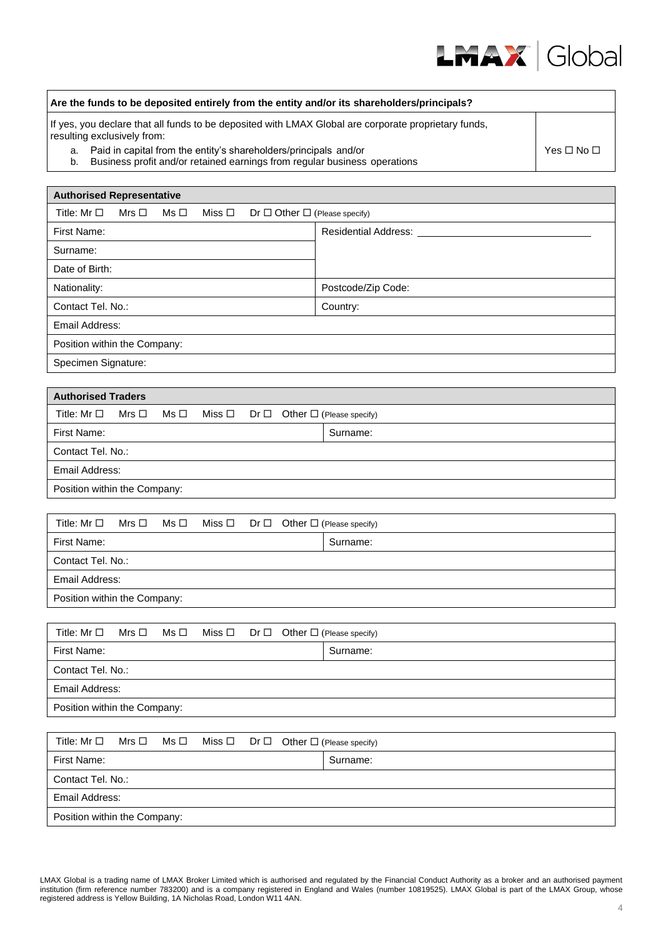

| Are the funds to be deposited entirely from the entity and/or its shareholders/principals?                                                          |                            |  |  |  |  |  |  |
|-----------------------------------------------------------------------------------------------------------------------------------------------------|----------------------------|--|--|--|--|--|--|
| If yes, you declare that all funds to be deposited with LMAX Global are corporate proprietary funds,<br>resulting exclusively from:                 |                            |  |  |  |  |  |  |
| a. Paid in capital from the entity's shareholders/principals and/or<br>b. Business profit and/or retained earnings from regular business operations | Yes $\square$ No $\square$ |  |  |  |  |  |  |

| <b>Authorised Representative</b>                                                            |                      |
|---------------------------------------------------------------------------------------------|----------------------|
| Title: $Mr \Box$<br>Mrs □<br>$Ms \Box$<br>Miss □<br>$Dr \Box$ Other $\Box$ (Please specify) |                      |
| First Name:                                                                                 | Residential Address: |
| Surname:                                                                                    |                      |
| Date of Birth:                                                                              |                      |
| Nationality:                                                                                | Postcode/Zip Code:   |
| Contact Tel. No.:                                                                           | Country:             |
| Email Address:                                                                              |                      |
| Position within the Company:                                                                |                      |
| Specimen Signature:                                                                         |                      |

| <b>Authorised Traders</b>    |  |                                                                                           |  |  |  |  |  |
|------------------------------|--|-------------------------------------------------------------------------------------------|--|--|--|--|--|
|                              |  | Title: $Mr \Box$ Mrs $\Box$ Ms $\Box$ Miss $\Box$ Dr $\Box$ Other $\Box$ (Please specify) |  |  |  |  |  |
| First Name:                  |  | Surname:                                                                                  |  |  |  |  |  |
| Contact Tel. No.:            |  |                                                                                           |  |  |  |  |  |
| Email Address:               |  |                                                                                           |  |  |  |  |  |
| Position within the Company: |  |                                                                                           |  |  |  |  |  |

|                              |  |  | Title: Mr $\Box$ Mrs $\Box$ Ms $\Box$ Miss $\Box$ Dr $\Box$ Other $\Box$ (Please specify) |          |  |  |
|------------------------------|--|--|-------------------------------------------------------------------------------------------|----------|--|--|
| First Name:                  |  |  |                                                                                           | Surname: |  |  |
| Contact Tel. No.:            |  |  |                                                                                           |          |  |  |
| Email Address:               |  |  |                                                                                           |          |  |  |
| Position within the Company: |  |  |                                                                                           |          |  |  |

| Title: $Mr \Box$ Mrs $\Box$ Ms $\Box$ Miss $\Box$ Dr $\Box$ Other $\Box$ (Please specify) |  |  |          |
|-------------------------------------------------------------------------------------------|--|--|----------|
| First Name:                                                                               |  |  | Surname: |
| Contact Tel. No.:                                                                         |  |  |          |
| Email Address:                                                                            |  |  |          |
| Position within the Company:                                                              |  |  |          |

|                              |  |  | Title: $Mr \Box$ Mrs $\Box$ Ms $\Box$ Miss $\Box$ Dr $\Box$ Other $\Box$ (Please specify) |          |  |  |
|------------------------------|--|--|-------------------------------------------------------------------------------------------|----------|--|--|
| First Name:                  |  |  |                                                                                           | Surname: |  |  |
| Contact Tel. No.:            |  |  |                                                                                           |          |  |  |
| Email Address:               |  |  |                                                                                           |          |  |  |
| Position within the Company: |  |  |                                                                                           |          |  |  |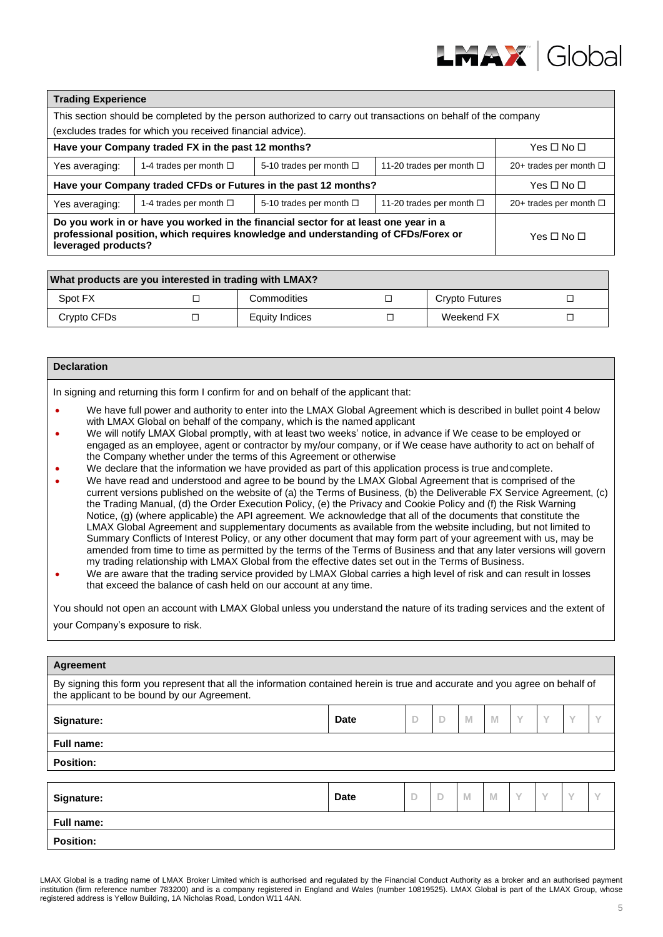

| <b>Trading Experience</b>                                                                                                                                                                         |                               |                              |                             |  |  |  |  |  |
|---------------------------------------------------------------------------------------------------------------------------------------------------------------------------------------------------|-------------------------------|------------------------------|-----------------------------|--|--|--|--|--|
| This section should be completed by the person authorized to carry out transactions on behalf of the company                                                                                      |                               |                              |                             |  |  |  |  |  |
| (excludes trades for which you received financial advice).                                                                                                                                        |                               |                              |                             |  |  |  |  |  |
| Have your Company traded FX in the past 12 months?                                                                                                                                                | Yes $\square$ No $\square$    |                              |                             |  |  |  |  |  |
| Yes averaging:                                                                                                                                                                                    | 1-4 trades per month $\Box$   | 5-10 trades per month $\Box$ | 20+ trades per month $\Box$ |  |  |  |  |  |
| Have your Company traded CFDs or Futures in the past 12 months?                                                                                                                                   | Yes □ No □                    |                              |                             |  |  |  |  |  |
| Yes averaging:                                                                                                                                                                                    | 11-20 trades per month $\Box$ | 20+ trades per month $\Box$  |                             |  |  |  |  |  |
| Do you work in or have you worked in the financial sector for at least one year in a<br>professional position, which requires knowledge and understanding of CFDs/Forex or<br>leveraged products? | Yes □ No □                    |                              |                             |  |  |  |  |  |

| What products are you interested in trading with LMAX? |  |                |  |                |  |  |  |
|--------------------------------------------------------|--|----------------|--|----------------|--|--|--|
| Spot FX                                                |  | Commodities    |  | Crypto Futures |  |  |  |
| Crypto CFDs                                            |  | Equity Indices |  | Weekend FX     |  |  |  |

#### **Declaration**

In signing and returning this form I confirm for and on behalf of the applicant that:

- We have full power and authority to enter into the LMAX Global Agreement which is described in bullet point 4 below with LMAX Global on behalf of the company, which is the named applicant
- We will notify LMAX Global promptly, with at least two weeks' notice, in advance if We cease to be employed or engaged as an employee, agent or contractor by my/our company, or if We cease have authority to act on behalf of the Company whether under the terms of this Agreement or otherwise
- We declare that the information we have provided as part of this application process is true andcomplete.
- We have read and understood and agree to be bound by the LMAX Global Agreement that is comprised of the current versions published on the website of (a) the Terms of Business, (b) the Deliverable FX Service Agreement, (c) the Trading Manual, (d) the Order Execution Policy, (e) the Privacy and Cookie Policy and (f) the Risk Warning Notice, (g) (where applicable) the API agreement. We acknowledge that all of the documents that constitute the LMAX Global Agreement and supplementary documents as available from the website including, but not limited to Summary Conflicts of Interest Policy, or any other document that may form part of your agreement with us, may be amended from time to time as permitted by the terms of the Terms of Business and that any later versions will govern my trading relationship with LMAX Global from the effective dates set out in the Terms of Business.
- We are aware that the trading service provided by LMAX Global carries a high level of risk and can result in losses that exceed the balance of cash held on our account at any time.

You should not open an account with LMAX Global unless you understand the nature of its trading services and the extent of your Company's exposure to risk.

| Agreement                                                                                                                                                                   |             |        |   |   |                |   |           |        |              |  |
|-----------------------------------------------------------------------------------------------------------------------------------------------------------------------------|-------------|--------|---|---|----------------|---|-----------|--------|--------------|--|
| By signing this form you represent that all the information contained herein is true and accurate and you agree on behalf of<br>the applicant to be bound by our Agreement. |             |        |   |   |                |   |           |        |              |  |
| Signature:                                                                                                                                                                  | <b>Date</b> | D      | D | M | M              | Y | Y         | Υ      |              |  |
| <b>Full name:</b>                                                                                                                                                           |             |        |   |   |                |   |           |        |              |  |
| <b>Position:</b>                                                                                                                                                            |             |        |   |   |                |   |           |        |              |  |
|                                                                                                                                                                             |             |        |   |   |                |   |           |        |              |  |
| Signature:                                                                                                                                                                  | <b>Date</b> | $\Box$ | D | M | $\blacksquare$ | Y | $\sqrt{}$ | $\vee$ | $\checkmark$ |  |
| Full name:                                                                                                                                                                  |             |        |   |   |                |   |           |        |              |  |
| <b>Position:</b>                                                                                                                                                            |             |        |   |   |                |   |           |        |              |  |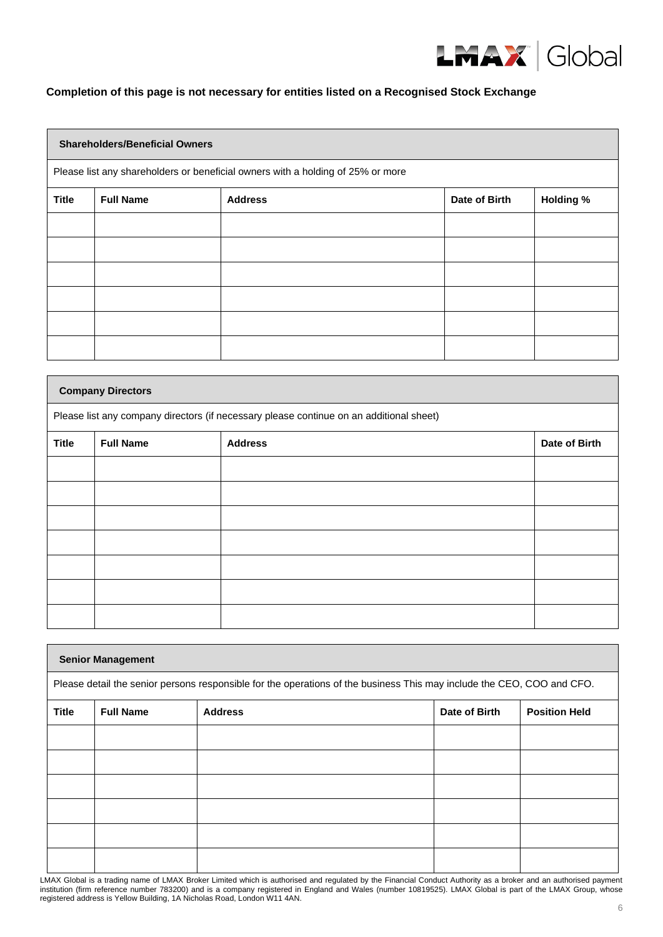

## **Completion of this page is not necessary for entities listed on a Recognised Stock Exchange**

|                                                                                 | <b>Shareholders/Beneficial Owners</b> |                |               |                  |  |  |  |  |  |
|---------------------------------------------------------------------------------|---------------------------------------|----------------|---------------|------------------|--|--|--|--|--|
| Please list any shareholders or beneficial owners with a holding of 25% or more |                                       |                |               |                  |  |  |  |  |  |
| <b>Title</b>                                                                    | <b>Full Name</b>                      | <b>Address</b> | Date of Birth | <b>Holding %</b> |  |  |  |  |  |
|                                                                                 |                                       |                |               |                  |  |  |  |  |  |
|                                                                                 |                                       |                |               |                  |  |  |  |  |  |
|                                                                                 |                                       |                |               |                  |  |  |  |  |  |
|                                                                                 |                                       |                |               |                  |  |  |  |  |  |
|                                                                                 |                                       |                |               |                  |  |  |  |  |  |
|                                                                                 |                                       |                |               |                  |  |  |  |  |  |

| <b>Company Directors</b>                                                                |                  |                |               |  |  |  |
|-----------------------------------------------------------------------------------------|------------------|----------------|---------------|--|--|--|
| Please list any company directors (if necessary please continue on an additional sheet) |                  |                |               |  |  |  |
| <b>Title</b>                                                                            | <b>Full Name</b> | <b>Address</b> | Date of Birth |  |  |  |
|                                                                                         |                  |                |               |  |  |  |
|                                                                                         |                  |                |               |  |  |  |
|                                                                                         |                  |                |               |  |  |  |
|                                                                                         |                  |                |               |  |  |  |
|                                                                                         |                  |                |               |  |  |  |
|                                                                                         |                  |                |               |  |  |  |
|                                                                                         |                  |                |               |  |  |  |

| <b>Senior Management</b>                                                                                               |  |  |  |  |  |  |  |  |
|------------------------------------------------------------------------------------------------------------------------|--|--|--|--|--|--|--|--|
| Please detail the senior persons responsible for the operations of the business This may include the CEO, COO and CFO. |  |  |  |  |  |  |  |  |
| <b>Title</b><br><b>Full Name</b><br><b>Address</b><br>Date of Birth<br><b>Position Held</b>                            |  |  |  |  |  |  |  |  |
|                                                                                                                        |  |  |  |  |  |  |  |  |
|                                                                                                                        |  |  |  |  |  |  |  |  |
|                                                                                                                        |  |  |  |  |  |  |  |  |
|                                                                                                                        |  |  |  |  |  |  |  |  |
|                                                                                                                        |  |  |  |  |  |  |  |  |
|                                                                                                                        |  |  |  |  |  |  |  |  |